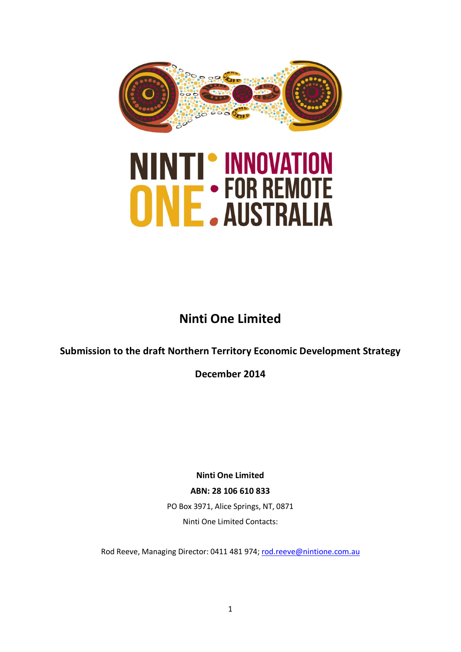



# **Ninti One Limited**

# **Submission to the draft Northern Territory Economic Development Strategy**

**December 2014**

**Ninti One Limited ABN: 28 106 610 833** PO Box 3971, Alice Springs, NT, 0871 Ninti One Limited Contacts:

Rod Reeve, Managing Director: 0411 481 974; [rod.reeve@nintione.com.au](mailto:rod.reeve@nintione.com.au)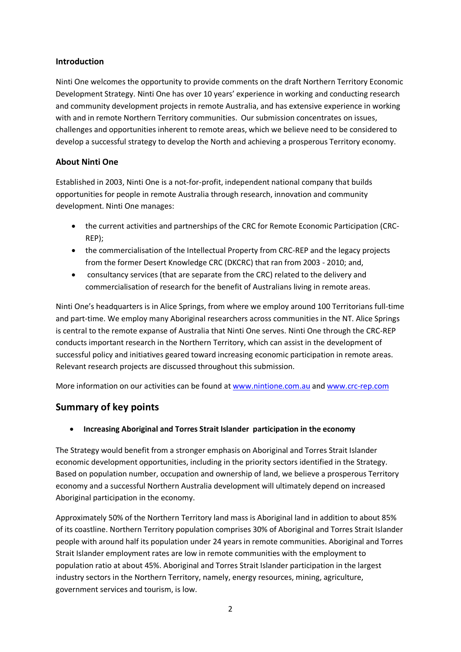#### **Introduction**

Ninti One welcomes the opportunity to provide comments on the draft Northern Territory Economic Development Strategy. Ninti One has over 10 years' experience in working and conducting research and community development projects in remote Australia, and has extensive experience in working with and in remote Northern Territory communities. Our submission concentrates on issues, challenges and opportunities inherent to remote areas, which we believe need to be considered to develop a successful strategy to develop the North and achieving a prosperous Territory economy.

# **About Ninti One**

Established in 2003, Ninti One is a not-for-profit, independent national company that builds opportunities for people in remote Australia through research, innovation and community development. Ninti One manages:

- the current activities and partnerships of the CRC for Remote Economic Participation (CRC-REP);
- the commercialisation of the Intellectual Property from CRC-REP and the legacy projects from the former Desert Knowledge CRC (DKCRC) that ran from 2003 - 2010; and,
- consultancy services (that are separate from the CRC) related to the delivery and commercialisation of research for the benefit of Australians living in remote areas.

Ninti One's headquarters is in Alice Springs, from where we employ around 100 Territorians full-time and part-time. We employ many Aboriginal researchers across communities in the NT. Alice Springs is central to the remote expanse of Australia that Ninti One serves. Ninti One through the CRC-REP conducts important research in the Northern Territory, which can assist in the development of successful policy and initiatives geared toward increasing economic participation in remote areas. Relevant research projects are discussed throughout this submission.

More information on our activities can be found at [www.nintione.com.au](http://www.nintione.com.au/) an[d www.crc-rep.com](http://www.crc-rep.com/)

# **Summary of key points**

• **Increasing Aboriginal and Torres Strait Islander participation in the economy** 

The Strategy would benefit from a stronger emphasis on Aboriginal and Torres Strait Islander economic development opportunities, including in the priority sectors identified in the Strategy. Based on population number, occupation and ownership of land, we believe a prosperous Territory economy and a successful Northern Australia development will ultimately depend on increased Aboriginal participation in the economy.

Approximately 50% of the Northern Territory land mass is Aboriginal land in addition to about 85% of its coastline. Northern Territory population comprises 30% of Aboriginal and Torres Strait Islander people with around half its population under 24 years in remote communities. Aboriginal and Torres Strait Islander employment rates are low in remote communities with the employment to population ratio at about 45%. Aboriginal and Torres Strait Islander participation in the largest industry sectors in the Northern Territory, namely, energy resources, mining, agriculture, government services and tourism, is low.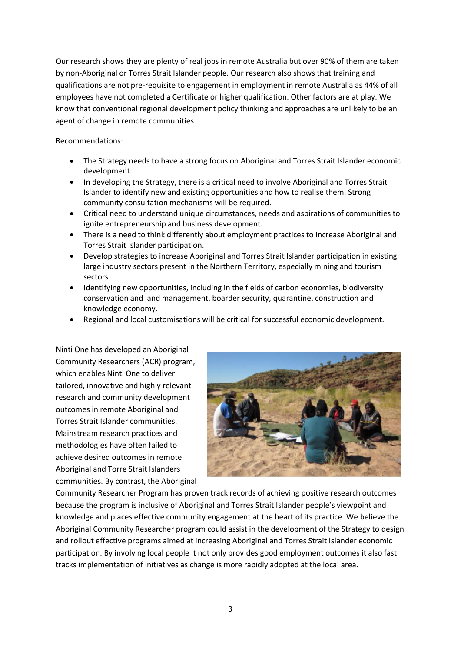Our research shows they are plenty of real jobs in remote Australia but over 90% of them are taken by non-Aboriginal or Torres Strait Islander people. Our research also shows that training and qualifications are not pre-requisite to engagement in employment in remote Australia as 44% of all employees have not completed a Certificate or higher qualification. Other factors are at play. We know that conventional regional development policy thinking and approaches are unlikely to be an agent of change in remote communities.

Recommendations:

- The Strategy needs to have a strong focus on Aboriginal and Torres Strait Islander economic development.
- In developing the Strategy, there is a critical need to involve Aboriginal and Torres Strait Islander to identify new and existing opportunities and how to realise them. Strong community consultation mechanisms will be required.
- Critical need to understand unique circumstances, needs and aspirations of communities to ignite entrepreneurship and business development.
- There is a need to think differently about employment practices to increase Aboriginal and Torres Strait Islander participation.
- Develop strategies to increase Aboriginal and Torres Strait Islander participation in existing large industry sectors present in the Northern Territory, especially mining and tourism sectors.
- Identifying new opportunities, including in the fields of carbon economies, biodiversity conservation and land management, boarder security, quarantine, construction and knowledge economy.
- Regional and local customisations will be critical for successful economic development.

Ninti One has developed an Aboriginal Community Researchers (ACR) program, which enables Ninti One to deliver tailored, innovative and highly relevant research and community development outcomes in remote Aboriginal and Torres Strait Islander communities. Mainstream research practices and methodologies have often failed to achieve desired outcomes in remote Aboriginal and Torre Strait Islanders communities. By contrast, the Aboriginal



Community Researcher Program has proven track records of achieving positive research outcomes because the program is inclusive of Aboriginal and Torres Strait Islander people's viewpoint and knowledge and places effective community engagement at the heart of its practice. We believe the Aboriginal Community Researcher program could assist in the development of the Strategy to design and rollout effective programs aimed at increasing Aboriginal and Torres Strait Islander economic participation. By involving local people it not only provides good employment outcomes it also fast tracks implementation of initiatives as change is more rapidly adopted at the local area.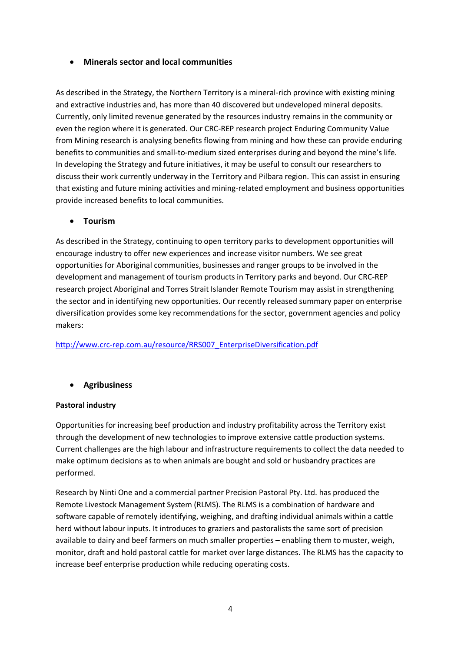# • **Minerals sector and local communities**

As described in the Strategy, the Northern Territory is a mineral-rich province with existing mining and extractive industries and, has more than 40 discovered but undeveloped mineral deposits. Currently, only limited revenue generated by the resources industry remains in the community or even the region where it is generated. Our CRC-REP research project Enduring Community Value from Mining research is analysing benefits flowing from mining and how these can provide enduring benefits to communities and small-to-medium sized enterprises during and beyond the mine's life. In developing the Strategy and future initiatives, it may be useful to consult our researchers to discuss their work currently underway in the Territory and Pilbara region. This can assist in ensuring that existing and future mining activities and mining-related employment and business opportunities provide increased benefits to local communities.

#### • **Tourism**

As described in the Strategy, continuing to open territory parks to development opportunities will encourage industry to offer new experiences and increase visitor numbers. We see great opportunities for Aboriginal communities, businesses and ranger groups to be involved in the development and management of tourism products in Territory parks and beyond. Our CRC-REP research project Aboriginal and Torres Strait Islander Remote Tourism may assist in strengthening the sector and in identifying new opportunities. Our recently released summary paper on enterprise diversification provides some key recommendations for the sector, government agencies and policy makers:

#### [http://www.crc-rep.com.au/resource/RRS007\\_EnterpriseDiversification.pdf](http://www.crc-rep.com.au/resource/RRS007_EnterpriseDiversification.pdf)

# • **Agribusiness**

#### **Pastoral industry**

Opportunities for increasing beef production and industry profitability across the Territory exist through the development of new technologies to improve extensive cattle production systems. Current challenges are the high labour and infrastructure requirements to collect the data needed to make optimum decisions as to when animals are bought and sold or husbandry practices are performed.

Research by Ninti One and a commercial partner Precision Pastoral Pty. Ltd. has produced the Remote Livestock Management System (RLMS). The RLMS is a combination of hardware and software capable of remotely identifying, weighing, and drafting individual animals within a cattle herd without labour inputs. It introduces to graziers and pastoralists the same sort of precision available to dairy and beef farmers on much smaller properties – enabling them to muster, weigh, monitor, draft and hold pastoral cattle for market over large distances. The RLMS has the capacity to increase beef enterprise production while reducing operating costs.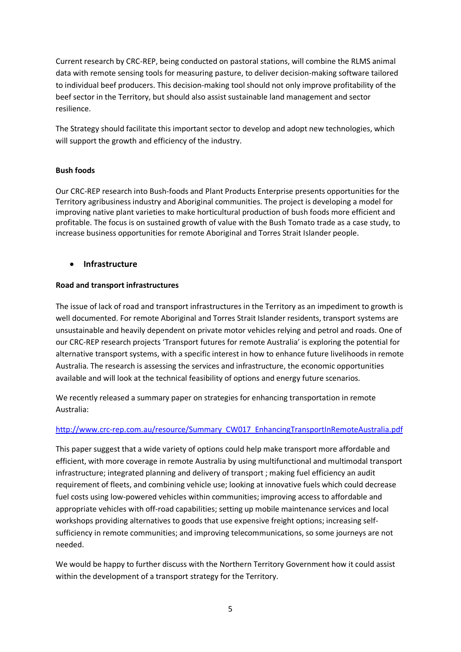Current research by CRC-REP, being conducted on pastoral stations, will combine the RLMS animal data with remote sensing tools for measuring pasture, to deliver decision-making software tailored to individual beef producers. This decision-making tool should not only improve profitability of the beef sector in the Territory, but should also assist sustainable land management and sector resilience.

The Strategy should facilitate this important sector to develop and adopt new technologies, which will support the growth and efficiency of the industry.

## **Bush foods**

Our CRC-REP research into Bush-foods and Plant Products Enterprise presents opportunities for the Territory agribusiness industry and Aboriginal communities. The project is developing a model for improving native plant varieties to make horticultural production of bush foods more efficient and profitable. The focus is on sustained growth of value with the Bush Tomato trade as a case study, to increase business opportunities for remote Aboriginal and Torres Strait Islander people.

## • **Infrastructure**

#### **Road and transport infrastructures**

The issue of lack of road and transport infrastructures in the Territory as an impediment to growth is well documented. For remote Aboriginal and Torres Strait Islander residents, transport systems are unsustainable and heavily dependent on private motor vehicles relying and petrol and roads. One of our CRC-REP research projects 'Transport futures for remote Australia' is exploring the potential for alternative transport systems, with a specific interest in how to enhance future livelihoods in remote Australia. The research is assessing the services and infrastructure, the economic opportunities available and will look at the technical feasibility of options and energy future scenarios.

We recently released a summary paper on strategies for enhancing transportation in remote Australia:

#### [http://www.crc-rep.com.au/resource/Summary\\_CW017\\_EnhancingTransportInRemoteAustralia.pdf](http://www.crc-rep.com.au/resource/Summary_CW017_EnhancingTransportInRemoteAustralia.pdf)

This paper suggest that a wide variety of options could help make transport more affordable and efficient, with more coverage in remote Australia by using multifunctional and multimodal transport infrastructure; integrated planning and delivery of transport ; making fuel efficiency an audit requirement of fleets, and combining vehicle use; looking at innovative fuels which could decrease fuel costs using low-powered vehicles within communities; improving access to affordable and appropriate vehicles with off-road capabilities; setting up mobile maintenance services and local workshops providing alternatives to goods that use expensive freight options; increasing selfsufficiency in remote communities; and improving telecommunications, so some journeys are not needed.

We would be happy to further discuss with the Northern Territory Government how it could assist within the development of a transport strategy for the Territory.